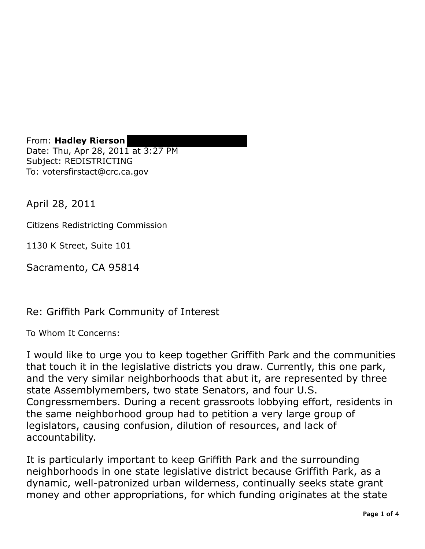From: **Hadley Rierson** Date: Thu, Apr 28, 2011 at 3:27 PM Subject: REDISTRICTING To: votersfirstact@crc.ca.gov

April 28, 2011

Citizens Redistricting Commission

1130 K Street, Suite 101

Sacramento, CA 95814

Re: Griffith Park Community of Interest

To Whom It Concerns:

I would like to urge you to keep together Griffith Park and the communities that touch it in the legislative districts you draw. Currently, this one park, and the very similar neighborhoods that abut it, are represented by three state Assemblymembers, two state Senators, and four U.S. Congressmembers. During a recent grassroots lobbying effort, residents in the same neighborhood group had to petition a very large group of legislators, causing confusion, dilution of resources, and lack of accountability.

It is particularly important to keep Griffith Park and the surrounding neighborhoods in one state legislative district because Griffith Park, as a dynamic, well-patronized urban wilderness, continually seeks state grant money and other appropriations, for which funding originates at the state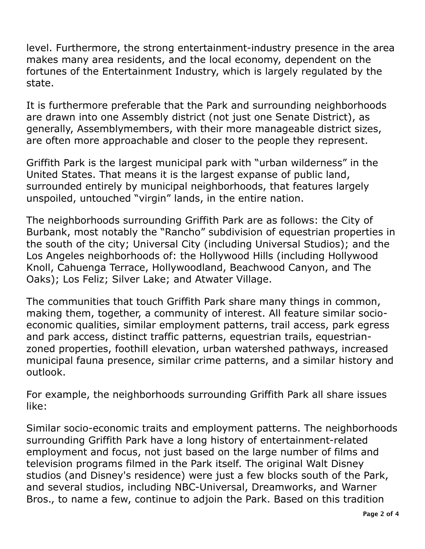level. Furthermore, the strong entertainment-industry presence in the area makes many area residents, and the local economy, dependent on the fortunes of the Entertainment Industry, which is largely regulated by the state.

 It is furthermore preferable that the Park and surrounding neighborhoods are drawn into one Assembly district (not just one Senate District), as generally, Assemblymembers, with their more manageable district sizes, are often more approachable and closer to the people they represent.

 Griffith Park is the largest municipal park with "urban wilderness" in the United States. That means it is the largest expanse of public land, surrounded entirely by municipal neighborhoods, that features largely unspoiled, untouched "virgin" lands, in the entire nation.

 The neighborhoods surrounding Griffith Park are as follows: the City of Burbank, most notably the "Rancho" subdivision of equestrian properties in the south of the city; Universal City (including Universal Studios); and the Los Angeles neighborhoods of: the Hollywood Hills (including Hollywood Knoll, Cahuenga Terrace, Hollywoodland, Beachwood Canyon, and The Oaks); Los Feliz; Silver Lake; and Atwater Village.

 The communities that touch Griffith Park share many things in common, making them, together, a community of interest. All feature similar socio- economic qualities, similar employment patterns, trail access, park egress and park access, distinct traffic patterns, equestrian trails, equestrian- zoned properties, foothill elevation, urban watershed pathways, increased municipal fauna presence, similar crime patterns, and a similar history and outlook.

 For example, the neighborhoods surrounding Griffith Park all share issues like:

 Similar socio-economic traits and employment patterns. The neighborhoods surrounding Griffith Park have a long history of entertainment-related employment and focus, not just based on the large number of films and television programs filmed in the Park itself. The original Walt Disney studios (and Disney's residence) were just a few blocks south of the Park, and several studios, including NBC-Universal, Dreamworks, and Warner Bros., to name a few, continue to adjoin the Park. Based on this tradition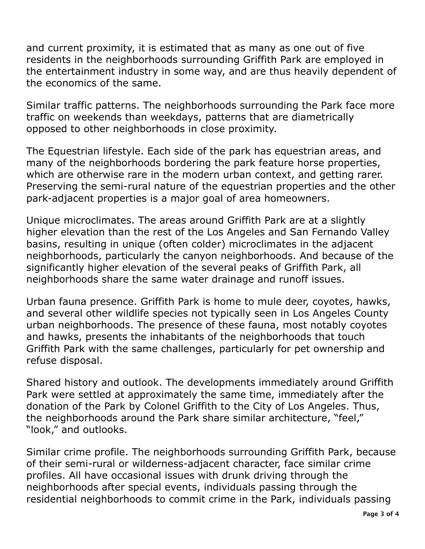and current proximity, it is estimated that as many as one out of five residents in the neighborhoods surrounding Griffith Park are employed in the entertainment industry in some way, and are thus heavily dependent of the economics of the same.

 Similar traffic patterns. The neighborhoods surrounding the Park face more opposed to other neighborhoods in close proximity. traffic on weekends than weekdays, patterns that are diametrically

 The Equestrian lifestyle. Each side of the park has equestrian areas, and many of the neighborhoods bordering the park feature horse properties, which are otherwise rare in the modern urban context, and getting rarer. Preserving the semi-rural nature of the equestrian properties and the other park-adjacent properties is a major goal of area homeowners.

 Unique microclimates. The areas around Griffith Park are at a slightly higher elevation than the rest of the Los Angeles and San Fernando Valley basins, resulting in unique (often colder) microclimates in the adjacent neighborhoods, particularly the canyon neighborhoods. And because of the significantly higher elevation of the several peaks of Griffith Park, all neighborhoods share the same water drainage and runoff issues.

 Urban fauna presence. Griffith Park is home to mule deer, coyotes, hawks, and several other wildlife species not typically seen in Los Angeles County urban neighborhoods. The presence of these fauna, most notably coyotes and hawks, presents the inhabitants of the neighborhoods that touch Griffith Park with the same challenges, particularly for pet ownership and refuse disposal.

 Shared history and outlook. The developments immediately around Griffith Park were settled at approximately the same time, immediately after the donation of the Park by Colonel Griffith to the City of Los Angeles. Thus, the neighborhoods around the Park share similar architecture, "feel," "look," and outlooks.

 Similar crime profile. The neighborhoods surrounding Griffith Park, because of their semi-rural or wilderness-adjacent character, face similar crime profiles. All have occasional issues with drunk driving through the neighborhoods after special events, individuals passing through the residential neighborhoods to commit crime in the Park, individuals passing